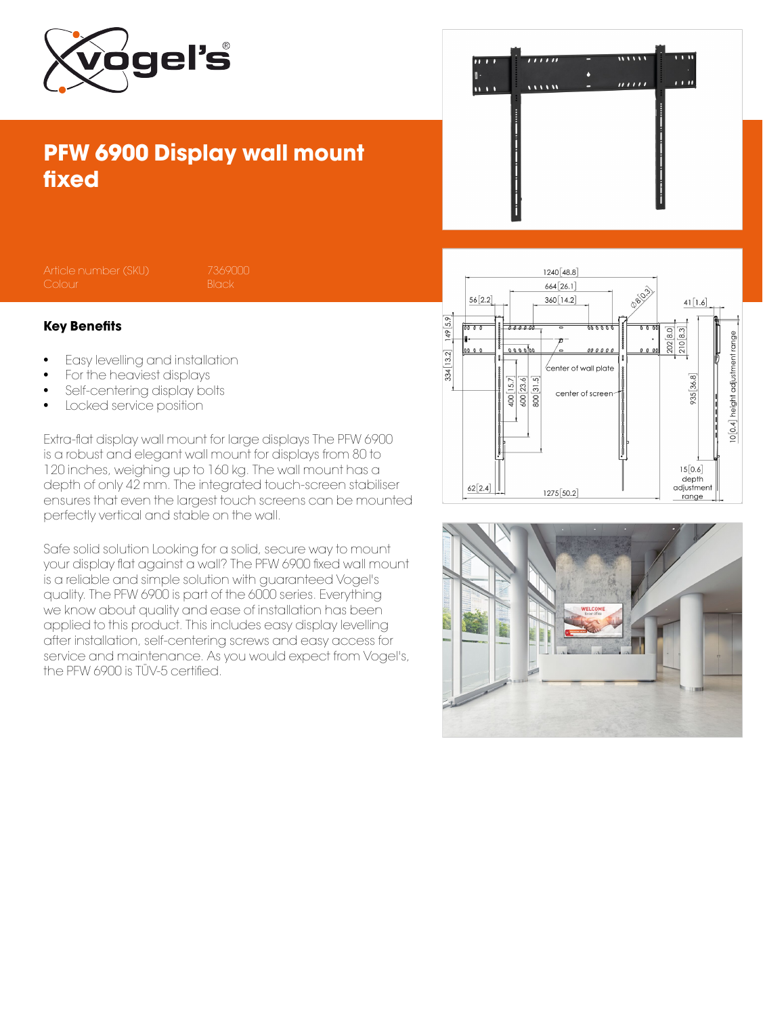



PFW 6900 Display wall mount

## Key Benefits

fixed

- Easy levelling and installation
- For the heaviest displays
- Self-centering display bolts
- Locked service position

Extra-flat display wall mount for large displays The PFW 6900 is a robust and elegant wall mount for displays from 80 to 120 inches, weighing up to 160 kg. The wall mount has a depth of only 42 mm. The integrated touch-screen stabiliser ensures that even the largest touch screens can be mounted perfectly vertical and stable on the wall.

Safe solid solution Looking for a solid, secure way to mount your display flat against a wall? The PFW 6900 fixed wall mount is a reliable and simple solution with guaranteed Vogel's quality. The PFW 6900 is part of the 6000 series. Everything we know about quality and ease of installation has been applied to this product. This includes easy display levelling after installation, self-centering screws and easy access for service and maintenance. As you would expect from Vogel's, the PFW 6900 is TÜV-5 certified.